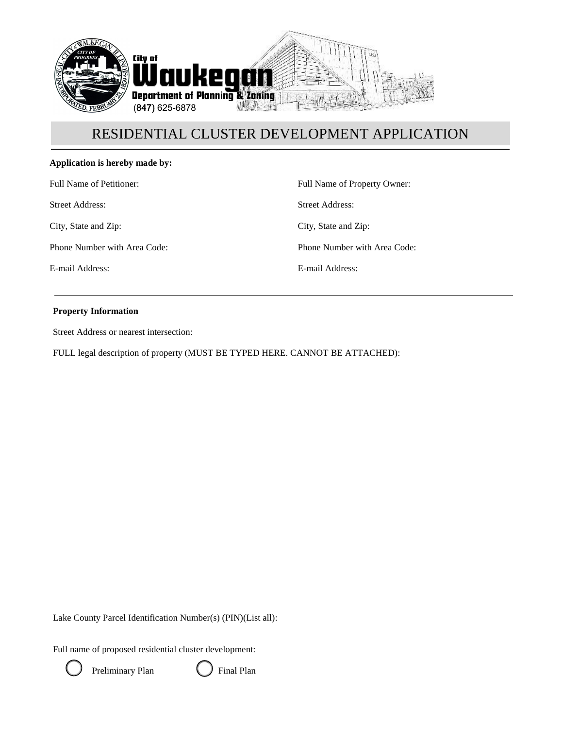

#### **Application is hereby made by:**

Full Name of Petitioner:

Street Address:

City, State and Zip:

Phone Number with Area Code:

E-mail Address:

Full Name of Property Owner:

Street Address:

City, State and Zip:

Phone Number with Area Code:

E-mail Address:

#### **Property Information**

Street Address or nearest intersection:

FULL legal description of property (MUST BE TYPED HERE. CANNOT BE ATTACHED):

Lake County Parcel Identification Number(s) (PIN)(List all):

Full name of proposed residential cluster development:



Preliminary Plan **C** Final Plan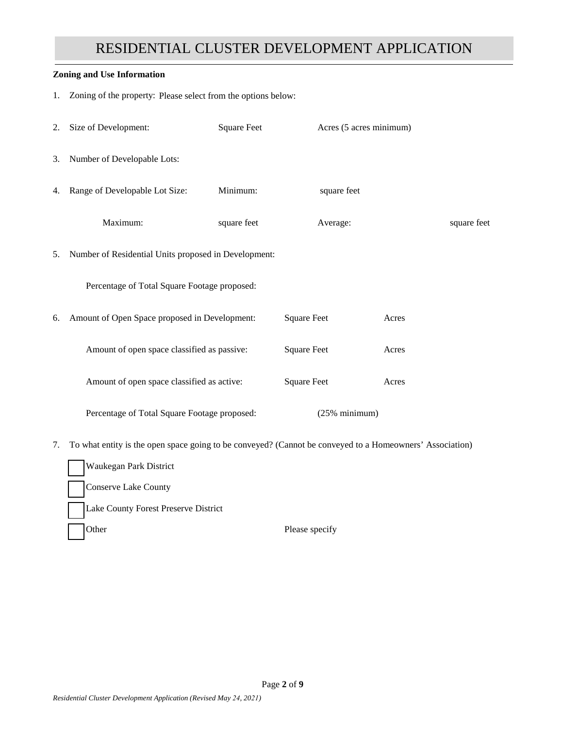#### **Zoning and Use Information**

1. Zoning of the property: Please select from the options below:

|    | 2. Size of Development:                              | <b>Square Feet</b> |                    | Acres (5 acres minimum) |       |             |
|----|------------------------------------------------------|--------------------|--------------------|-------------------------|-------|-------------|
| 3. | Number of Developable Lots:                          |                    |                    |                         |       |             |
| 4. | Range of Developable Lot Size:                       | Minimum:           |                    | square feet             |       |             |
|    | Maximum:                                             | square feet        |                    | Average:                |       | square feet |
| 5. | Number of Residential Units proposed in Development: |                    |                    |                         |       |             |
|    | Percentage of Total Square Footage proposed:         |                    |                    |                         |       |             |
| 6. | Amount of Open Space proposed in Development:        |                    | <b>Square Feet</b> |                         | Acres |             |
|    | Amount of open space classified as passive:          |                    | <b>Square Feet</b> |                         | Acres |             |
|    | Amount of open space classified as active:           |                    | <b>Square Feet</b> |                         | Acres |             |
|    | Percentage of Total Square Footage proposed:         |                    |                    | $(25%$ minimum)         |       |             |
|    |                                                      |                    |                    |                         |       |             |

7. To what entity is the open space going to be conveyed? (Cannot be conveyed to a Homeowners' Association)

Waukegan Park District Conserve Lake County Lake County Forest Preserve District Other Please specify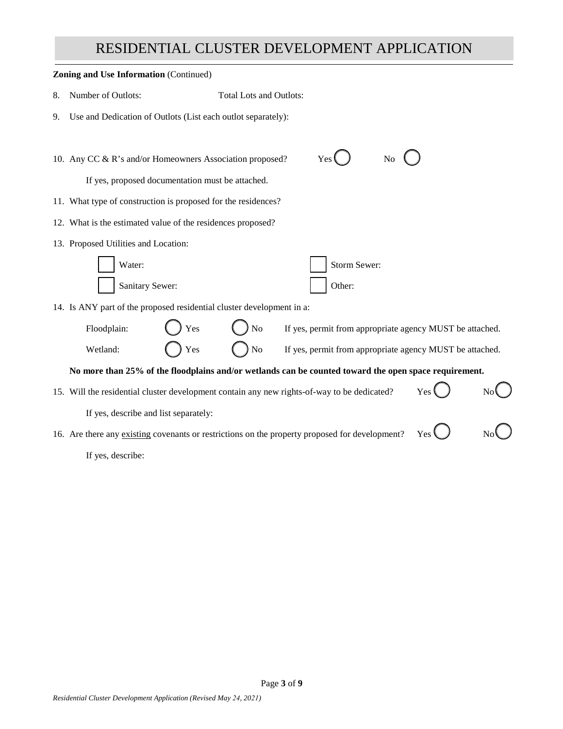| <b>Zoning and Use Information (Continued)</b> |                                                                                                       |                                |                                                          |  |  |  |
|-----------------------------------------------|-------------------------------------------------------------------------------------------------------|--------------------------------|----------------------------------------------------------|--|--|--|
| 8.                                            | Number of Outlots:                                                                                    | <b>Total Lots and Outlots:</b> |                                                          |  |  |  |
| 9.                                            | Use and Dedication of Outlots (List each outlot separately):                                          |                                |                                                          |  |  |  |
|                                               |                                                                                                       |                                |                                                          |  |  |  |
|                                               | 10. Any CC & R's and/or Homeowners Association proposed?                                              |                                | Yes<br>N <sub>0</sub>                                    |  |  |  |
|                                               | If yes, proposed documentation must be attached.                                                      |                                |                                                          |  |  |  |
|                                               | 11. What type of construction is proposed for the residences?                                         |                                |                                                          |  |  |  |
|                                               | 12. What is the estimated value of the residences proposed?                                           |                                |                                                          |  |  |  |
|                                               | 13. Proposed Utilities and Location:                                                                  |                                |                                                          |  |  |  |
|                                               | Water:                                                                                                |                                | Storm Sewer:                                             |  |  |  |
|                                               | Sanitary Sewer:                                                                                       |                                | Other:                                                   |  |  |  |
|                                               | 14. Is ANY part of the proposed residential cluster development in a:                                 |                                |                                                          |  |  |  |
|                                               | Yes<br>Floodplain:                                                                                    | N <sub>o</sub>                 | If yes, permit from appropriate agency MUST be attached. |  |  |  |
|                                               | Wetland:<br>Yes                                                                                       | No                             | If yes, permit from appropriate agency MUST be attached. |  |  |  |
|                                               | No more than 25% of the floodplains and/or wetlands can be counted toward the open space requirement. |                                |                                                          |  |  |  |
|                                               | 15. Will the residential cluster development contain any new rights-of-way to be dedicated?<br>Yes    |                                |                                                          |  |  |  |
|                                               | If yes, describe and list separately:                                                                 |                                |                                                          |  |  |  |
|                                               | 16. Are there any existing covenants or restrictions on the property proposed for development?<br>Yes |                                |                                                          |  |  |  |
|                                               | If yes, describe:                                                                                     |                                |                                                          |  |  |  |
|                                               |                                                                                                       |                                |                                                          |  |  |  |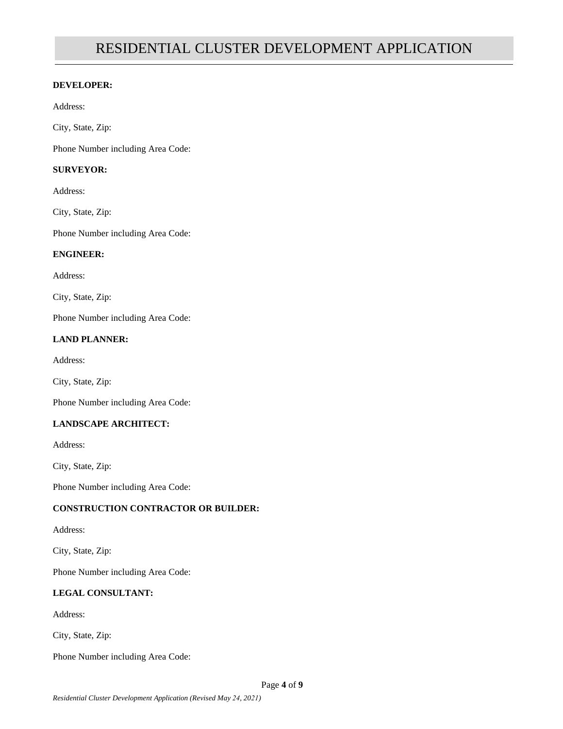#### **DEVELOPER:**

Address:

City, State, Zip:

Phone Number including Area Code:

### **SURVEYOR:**

Address:

City, State, Zip:

Phone Number including Area Code:

### **ENGINEER:**

Address:

City, State, Zip:

Phone Number including Area Code:

## **LAND PLANNER:**

Address:

City, State, Zip:

Phone Number including Area Code:

## **LANDSCAPE ARCHITECT:**

Address:

City, State, Zip:

Phone Number including Area Code:

## **CONSTRUCTION CONTRACTOR OR BUILDER:**

Address:

City, State, Zip:

Phone Number including Area Code:

## **LEGAL CONSULTANT:**

Address:

City, State, Zip:

Phone Number including Area Code: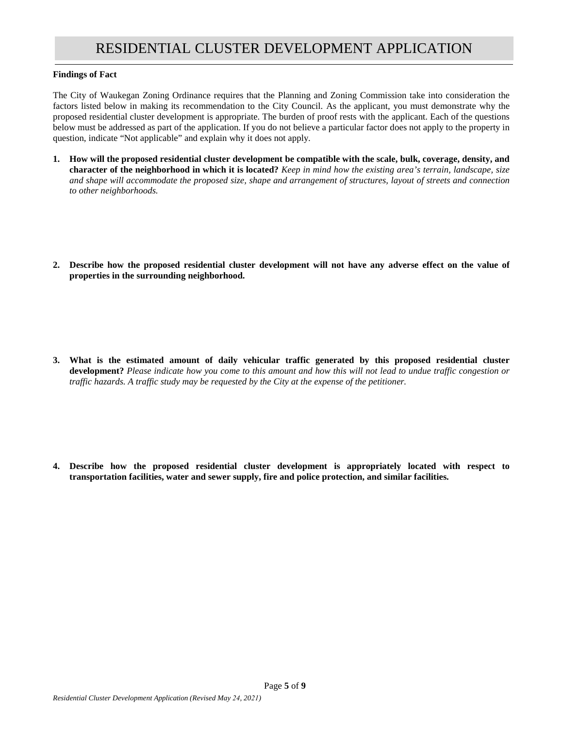#### **Findings of Fact**

The City of Waukegan Zoning Ordinance requires that the Planning and Zoning Commission take into consideration the factors listed below in making its recommendation to the City Council. As the applicant, you must demonstrate why the proposed residential cluster development is appropriate. The burden of proof rests with the applicant. Each of the questions below must be addressed as part of the application. If you do not believe a particular factor does not apply to the property in question, indicate "Not applicable" and explain why it does not apply.

- **1. How will the proposed residential cluster development be compatible with the scale, bulk, coverage, density, and character of the neighborhood in which it is located?** *Keep in mind how the existing area's terrain, landscape, size and shape will accommodate the proposed size, shape and arrangement of structures, layout of streets and connection to other neighborhoods.*
- **2. Describe how the proposed residential cluster development will not have any adverse effect on the value of properties in the surrounding neighborhood.**

**3. What is the estimated amount of daily vehicular traffic generated by this proposed residential cluster development?** *Please indicate how you come to this amount and how this will not lead to undue traffic congestion or traffic hazards. A traffic study may be requested by the City at the expense of the petitioner.*

**4. Describe how the proposed residential cluster development is appropriately located with respect to transportation facilities, water and sewer supply, fire and police protection, and similar facilities.**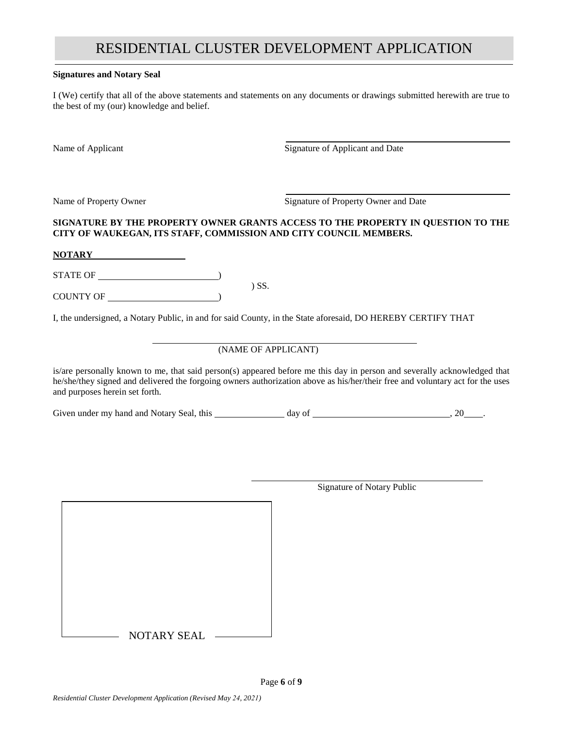#### **Signatures and Notary Seal**

I (We) certify that all of the above statements and statements on any documents or drawings submitted herewith are true to the best of my (our) knowledge and belief.

Name of Applicant Signature of Applicant and Date

Name of Property Owner Signature of Property Owner and Date

### **SIGNATURE BY THE PROPERTY OWNER GRANTS ACCESS TO THE PROPERTY IN QUESTION TO THE CITY OF WAUKEGAN, ITS STAFF, COMMISSION AND CITY COUNCIL MEMBERS.**

#### **NOTARY**

STATE OF ) ) SS.

COUNTY OF  $\qquad$ 

I, the undersigned, a Notary Public, in and for said County, in the State aforesaid, DO HEREBY CERTIFY THAT

## (NAME OF APPLICANT)

is/are personally known to me, that said person(s) appeared before me this day in person and severally acknowledged that he/she/they signed and delivered the forgoing owners authorization above as his/her/their free and voluntary act for the uses and purposes herein set forth.

Given under my hand and Notary Seal, this  $\frac{1}{2}$  day of  $\frac{1}{2}$  . 20 .

- NOTARY SEAL -

Page **6** of **9**

Signature of Notary Public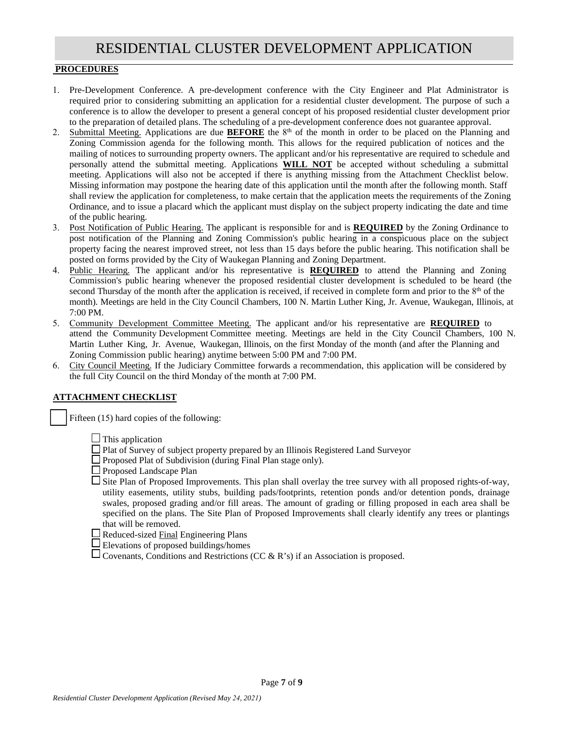#### **PROCEDURES**

- 1. Pre-Development Conference. A pre-development conference with the City Engineer and Plat Administrator is required prior to considering submitting an application for a residential cluster development. The purpose of such a conference is to allow the developer to present a general concept of his proposed residential cluster development prior to the preparation of detailed plans. The scheduling of a pre-development conference does not guarantee approval.
- 2. Submittal Meeting. Applications are due **BEFORE** the  $8<sup>th</sup>$  of the month in order to be placed on the Planning and Zoning Commission agenda for the following month. This allows for the required publication of notices and the mailing of notices to surrounding property owners. The applicant and/or his representative are required to schedule and personally attend the submittal meeting. Applications **WILL NOT** be accepted without scheduling a submittal meeting. Applications will also not be accepted if there is anything missing from the Attachment Checklist below. Missing information may postpone the hearing date of this application until the month after the following month. Staff shall review the application for completeness, to make certain that the application meets the requirements of the Zoning Ordinance, and to issue a placard which the applicant must display on the subject property indicating the date and time of the public hearing.
- 3. Post Notification of Public Hearing. The applicant is responsible for and is **REQUIRED** by the Zoning Ordinance to post notification of the Planning and Zoning Commission's public hearing in a conspicuous place on the subject property facing the nearest improved street, not less than 15 days before the public hearing. This notification shall be posted on forms provided by the City of Waukegan Planning and Zoning Department.
- 4. Public Hearing. The applicant and/or his representative is **REQUIRED** to attend the Planning and Zoning Commission's public hearing whenever the proposed residential cluster development is scheduled to be heard (the second Thursday of the month after the application is received, if received in complete form and prior to the 8<sup>th</sup> of the month). Meetings are held in the City Council Chambers, 100 N. Martin Luther King, Jr. Avenue, Waukegan, Illinois, at 7:00 PM.
- 5. Community Development Committee Meeting. The applicant and/or his representative are **REQUIRED** to attend the Community Development Committee meeting. Meetings are held in the City Council Chambers, 100 N. Martin Luther King, Jr. Avenue, Waukegan, Illinois, on the first Monday of the month (and after the Planning and Zoning Commission public hearing) anytime between 5:00 PM and 7:00 PM.
- 6. City Council Meeting. If the Judiciary Committee forwards a recommendation, this application will be considered by the full City Council on the third Monday of the month at 7:00 PM.

#### **ATTACHMENT CHECKLIST**

Fifteen (15) hard copies of the following:

 $\Box$  This application

- □ Plat of Survey of subject property prepared by an Illinois Registered Land Surveyor
- $\Box$  Proposed Plat of Subdivision (during Final Plan stage only).
- $\Box$  Proposed Landscape Plan

 $\square$  Site Plan of Proposed Improvements. This plan shall overlay the tree survey with all proposed rights-of-way, utility easements, utility stubs, building pads/footprints, retention ponds and/or detention ponds, drainage swales, proposed grading and/or fill areas. The amount of grading or filling proposed in each area shall be specified on the plans. The Site Plan of Proposed Improvements shall clearly identify any trees or plantings that will be removed.

 $\Box$  Reduced-sized Final Engineering Plans

Elevations of proposed buildings/homes

 $\Box$  Covenants, Conditions and Restrictions (CC & R's) if an Association is proposed.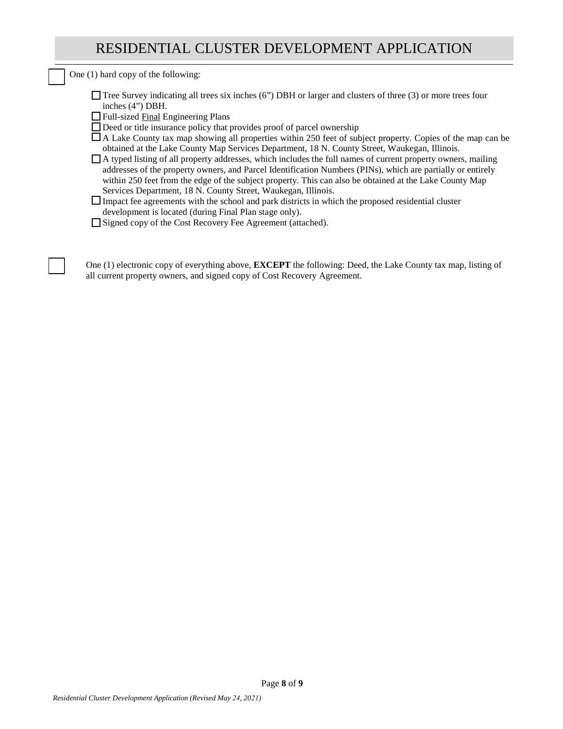One (1) hard copy of the following:

|                   | $\Box$ Tree Survey indicating all trees six inches (6") DBH or larger and clusters of three (3) or more trees four |
|-------------------|--------------------------------------------------------------------------------------------------------------------|
| inches $(4)$ DBH. |                                                                                                                    |

- □ Full-sized Final Engineering Plans
- $\Box$  Deed or title insurance policy that provides proof of parcel ownership

A Lake County tax map showing all properties within 250 feet of subject property. Copies of the map can be obtained at the Lake County Map Services Department, 18 N. County Street, Waukegan, Illinois.

A typed listing of all property addresses, which includes the full names of current property owners, mailing addresses of the property owners, and Parcel Identification Numbers (PINs), which are partially or entirely within 250 feet from the edge of the subject property. This can also be obtained at the Lake County Map Services Department, 18 N. County Street, Waukegan, Illinois.

 $\Box$  Impact fee agreements with the school and park districts in which the proposed residential cluster development is located (during Final Plan stage only).

□ Signed copy of the Cost Recovery Fee Agreement (attached).

One (1) electronic copy of everything above, **EXCEPT** the following: Deed, the Lake County tax map, listing of all current property owners, and signed copy of Cost Recovery Agreement.